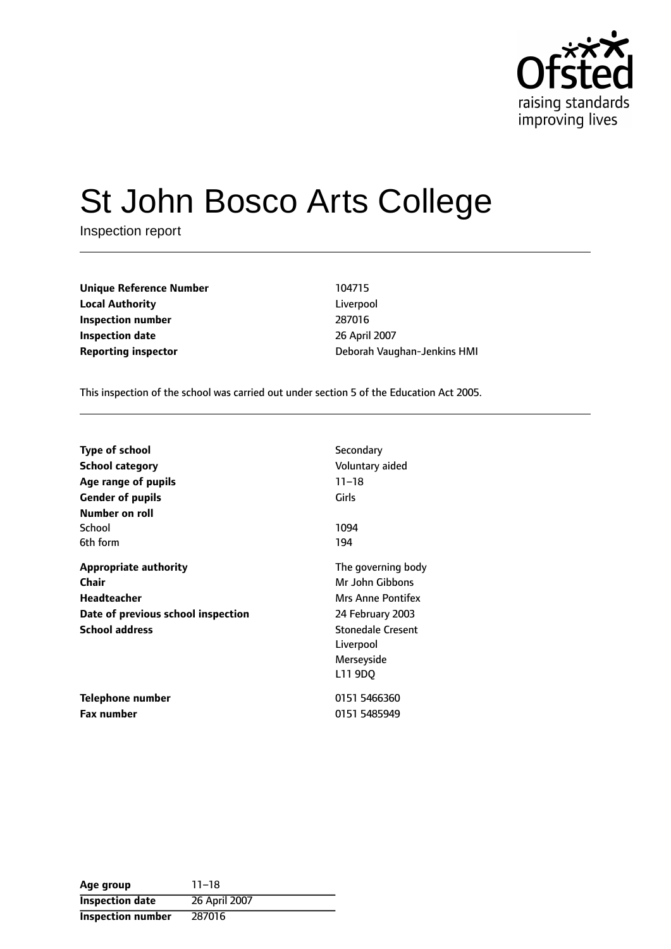

# St John Bosco Arts College

Inspection report

| <b>Unique Reference Number</b> |
|--------------------------------|
| <b>Local Authority</b>         |
| Inspection number              |
| <b>Inspection date</b>         |
| <b>Reporting inspector</b>     |

**Unique Reference Number** 104715 Liverpool **Inspection number** 287016 **Inspection date** 26 April 2007 **Reporting inspector** Deborah Vaughan-Jenkins HMI

This inspection of the school was carried out under section 5 of the Education Act 2005.

| <b>Type of school</b>              | Secondary                |
|------------------------------------|--------------------------|
| <b>School category</b>             | Voluntary aided          |
| Age range of pupils                | $11 - 18$                |
| <b>Gender of pupils</b>            | Girls                    |
| Number on roll                     |                          |
| School                             | 1094                     |
| 6th form                           | 194                      |
| <b>Appropriate authority</b>       | The governing body       |
| Chair                              | Mr John Gibbons          |
| <b>Headteacher</b>                 | Mrs Anne Pontifex        |
| Date of previous school inspection | 24 February 2003         |
| <b>School address</b>              | <b>Stonedale Cresent</b> |
|                                    | Liverpool                |
|                                    | Merseyside               |
|                                    | L11 9DQ                  |
| Telephone number                   | 0151 5466360             |
| <b>Fax number</b>                  | 0151 5485949             |

| Age group                | $11 - 18$     |
|--------------------------|---------------|
| <b>Inspection date</b>   | 26 April 2007 |
| <b>Inspection number</b> | 287016        |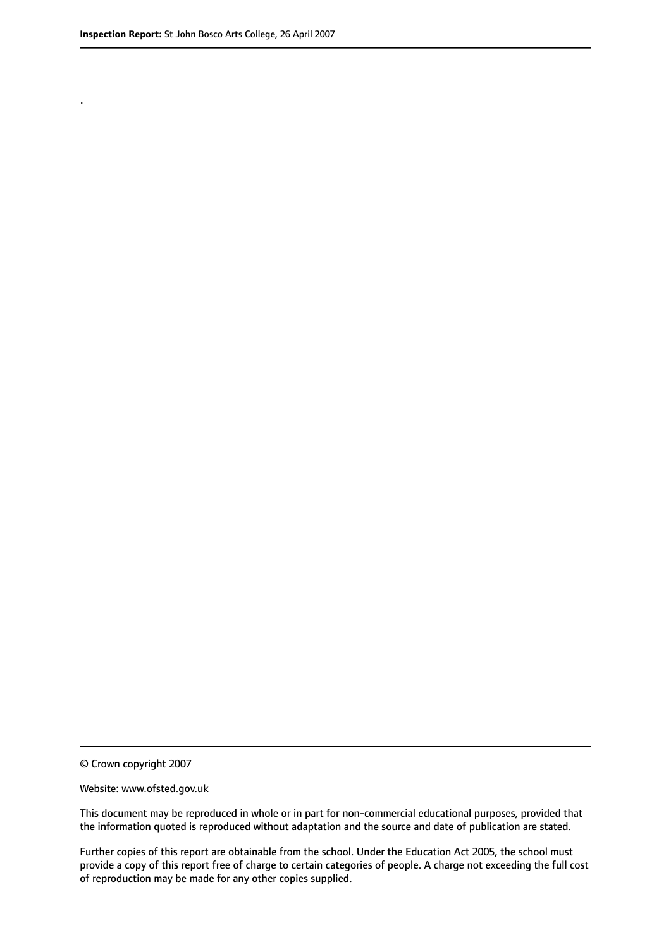.

© Crown copyright 2007

#### Website: www.ofsted.gov.uk

This document may be reproduced in whole or in part for non-commercial educational purposes, provided that the information quoted is reproduced without adaptation and the source and date of publication are stated.

Further copies of this report are obtainable from the school. Under the Education Act 2005, the school must provide a copy of this report free of charge to certain categories of people. A charge not exceeding the full cost of reproduction may be made for any other copies supplied.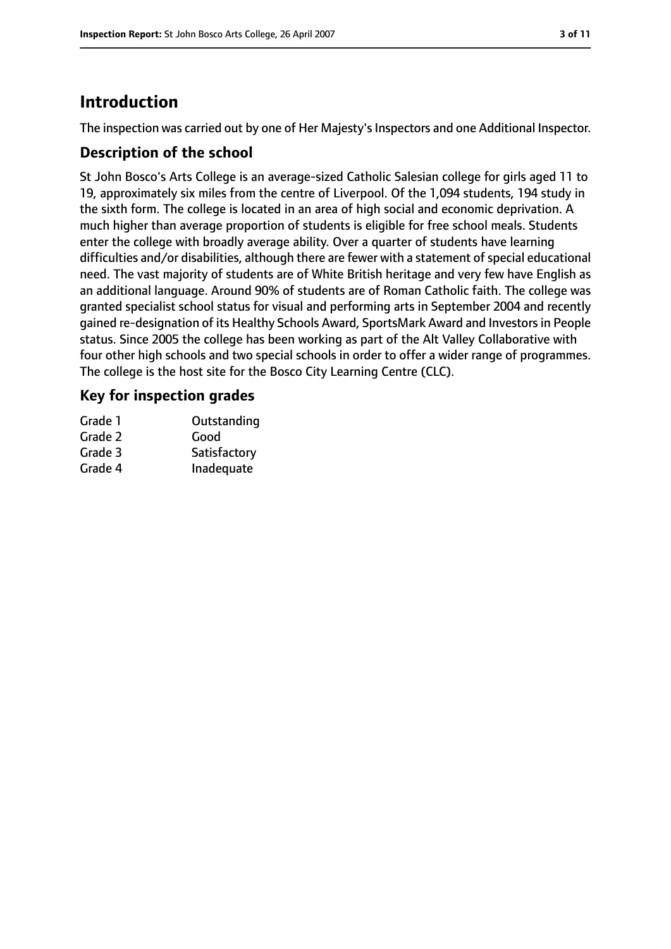# **Introduction**

The inspection was carried out by one of Her Majesty's Inspectors and one Additional Inspector.

## **Description of the school**

St John Bosco's Arts College is an average-sized Catholic Salesian college for girls aged 11 to 19, approximately six miles from the centre of Liverpool. Of the 1,094 students, 194 study in the sixth form. The college is located in an area of high social and economic deprivation. A much higher than average proportion of students is eligible for free school meals. Students enter the college with broadly average ability. Over a quarter of students have learning difficulties and/or disabilities, although there are fewer with a statement of special educational need. The vast majority of students are of White British heritage and very few have English as an additional language. Around 90% of students are of Roman Catholic faith. The college was granted specialist school status for visual and performing arts in September 2004 and recently gained re-designation of its Healthy Schools Award, SportsMark Award and Investors in People status. Since 2005 the college has been working as part of the Alt Valley Collaborative with four other high schools and two special schools in order to offer a wider range of programmes. The college is the host site for the Bosco City Learning Centre (CLC).

## **Key for inspection grades**

| Grade 1 | Outstanding  |
|---------|--------------|
| Grade 2 | Good         |
| Grade 3 | Satisfactory |
| Grade 4 | Inadequate   |
|         |              |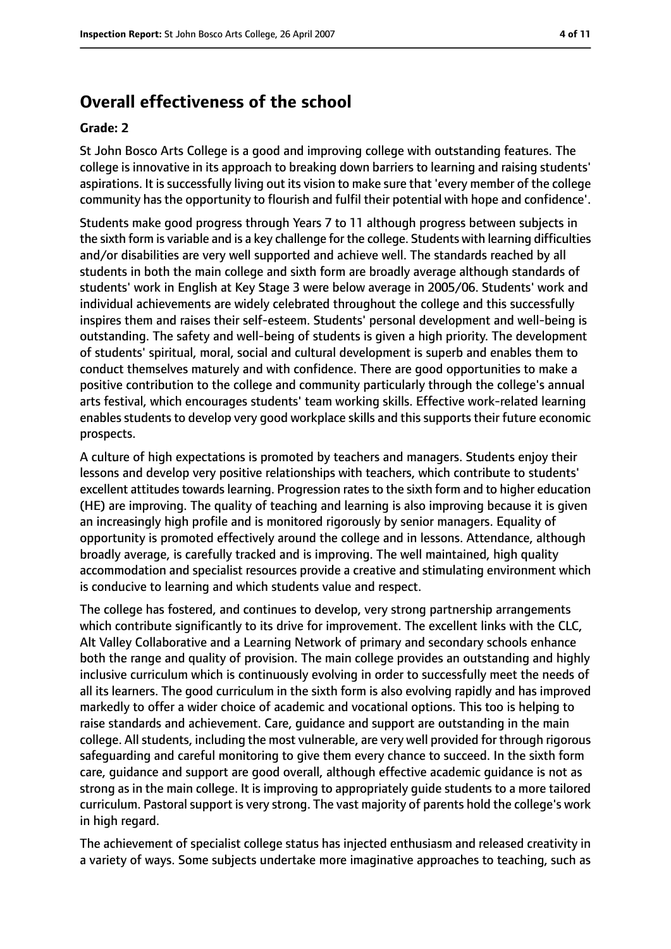# **Overall effectiveness of the school**

#### **Grade: 2**

St John Bosco Arts College is a good and improving college with outstanding features. The college is innovative in its approach to breaking down barriers to learning and raising students' aspirations. It is successfully living out its vision to make sure that 'every member of the college community has the opportunity to flourish and fulfil their potential with hope and confidence'.

Students make good progress through Years 7 to 11 although progress between subjects in the sixth form is variable and is a key challenge for the college. Students with learning difficulties and/or disabilities are very well supported and achieve well. The standards reached by all students in both the main college and sixth form are broadly average although standards of students' work in English at Key Stage 3 were below average in 2005/06. Students' work and individual achievements are widely celebrated throughout the college and this successfully inspires them and raises their self-esteem. Students' personal development and well-being is outstanding. The safety and well-being of students is given a high priority. The development of students' spiritual, moral, social and cultural development is superb and enables them to conduct themselves maturely and with confidence. There are good opportunities to make a positive contribution to the college and community particularly through the college's annual arts festival, which encourages students' team working skills. Effective work-related learning enables students to develop very good workplace skills and this supports their future economic prospects.

A culture of high expectations is promoted by teachers and managers. Students enjoy their lessons and develop very positive relationships with teachers, which contribute to students' excellent attitudes towards learning. Progression rates to the sixth form and to higher education (HE) are improving. The quality of teaching and learning is also improving because it is given an increasingly high profile and is monitored rigorously by senior managers. Equality of opportunity is promoted effectively around the college and in lessons. Attendance, although broadly average, is carefully tracked and is improving. The well maintained, high quality accommodation and specialist resources provide a creative and stimulating environment which is conducive to learning and which students value and respect.

The college has fostered, and continues to develop, very strong partnership arrangements which contribute significantly to its drive for improvement. The excellent links with the CLC, Alt Valley Collaborative and a Learning Network of primary and secondary schools enhance both the range and quality of provision. The main college provides an outstanding and highly inclusive curriculum which is continuously evolving in order to successfully meet the needs of all its learners. The good curriculum in the sixth form is also evolving rapidly and has improved markedly to offer a wider choice of academic and vocational options. This too is helping to raise standards and achievement. Care, guidance and support are outstanding in the main college. All students, including the most vulnerable, are very well provided for through rigorous safeguarding and careful monitoring to give them every chance to succeed. In the sixth form care, guidance and support are good overall, although effective academic guidance is not as strong as in the main college. It is improving to appropriately guide students to a more tailored curriculum. Pastoral support is very strong. The vast majority of parents hold the college's work in high regard.

The achievement of specialist college status has injected enthusiasm and released creativity in a variety of ways. Some subjects undertake more imaginative approaches to teaching, such as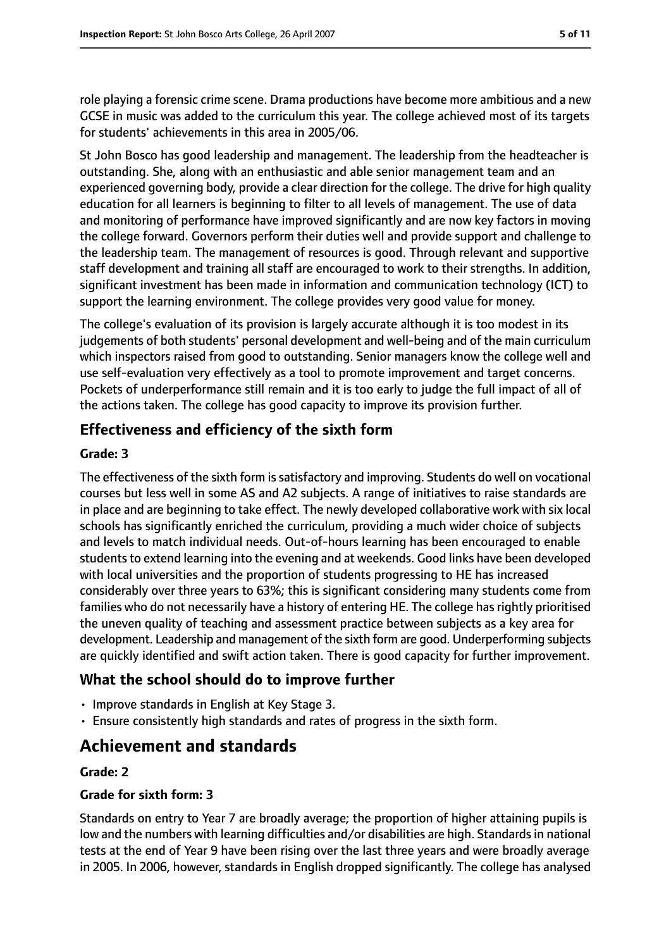role playing a forensic crime scene. Drama productions have become more ambitious and a new GCSE in music was added to the curriculum this year. The college achieved most of its targets for students' achievements in this area in 2005/06.

St John Bosco has good leadership and management. The leadership from the headteacher is outstanding. She, along with an enthusiastic and able senior management team and an experienced governing body, provide a clear direction for the college. The drive for high quality education for all learners is beginning to filter to all levels of management. The use of data and monitoring of performance have improved significantly and are now key factors in moving the college forward. Governors perform their duties well and provide support and challenge to the leadership team. The management of resources is good. Through relevant and supportive staff development and training all staff are encouraged to work to their strengths. In addition, significant investment has been made in information and communication technology (ICT) to support the learning environment. The college provides very good value for money.

The college's evaluation of its provision is largely accurate although it is too modest in its judgements of both students' personal development and well-being and of the main curriculum which inspectors raised from good to outstanding. Senior managers know the college well and use self-evaluation very effectively as a tool to promote improvement and target concerns. Pockets of underperformance still remain and it is too early to judge the full impact of all of the actions taken. The college has good capacity to improve its provision further.

## **Effectiveness and efficiency of the sixth form**

#### **Grade: 3**

The effectiveness of the sixth form is satisfactory and improving. Students do well on vocational courses but less well in some AS and A2 subjects. A range of initiatives to raise standards are in place and are beginning to take effect. The newly developed collaborative work with six local schools has significantly enriched the curriculum, providing a much wider choice of subjects and levels to match individual needs. Out-of-hours learning has been encouraged to enable students to extend learning into the evening and at weekends. Good links have been developed with local universities and the proportion of students progressing to HE has increased considerably over three years to 63%; this is significant considering many students come from families who do not necessarily have a history of entering HE. The college has rightly prioritised the uneven quality of teaching and assessment practice between subjects as a key area for development. Leadership and management of the sixth form are good. Underperforming subjects are quickly identified and swift action taken. There is good capacity for further improvement.

## **What the school should do to improve further**

- Improve standards in English at Key Stage 3.
- Ensure consistently high standards and rates of progress in the sixth form.

# **Achievement and standards**

#### **Grade: 2**

#### **Grade for sixth form: 3**

Standards on entry to Year 7 are broadly average; the proportion of higher attaining pupils is low and the numbers with learning difficulties and/or disabilities are high. Standards in national tests at the end of Year 9 have been rising over the last three years and were broadly average in 2005. In 2006, however, standards in English dropped significantly. The college has analysed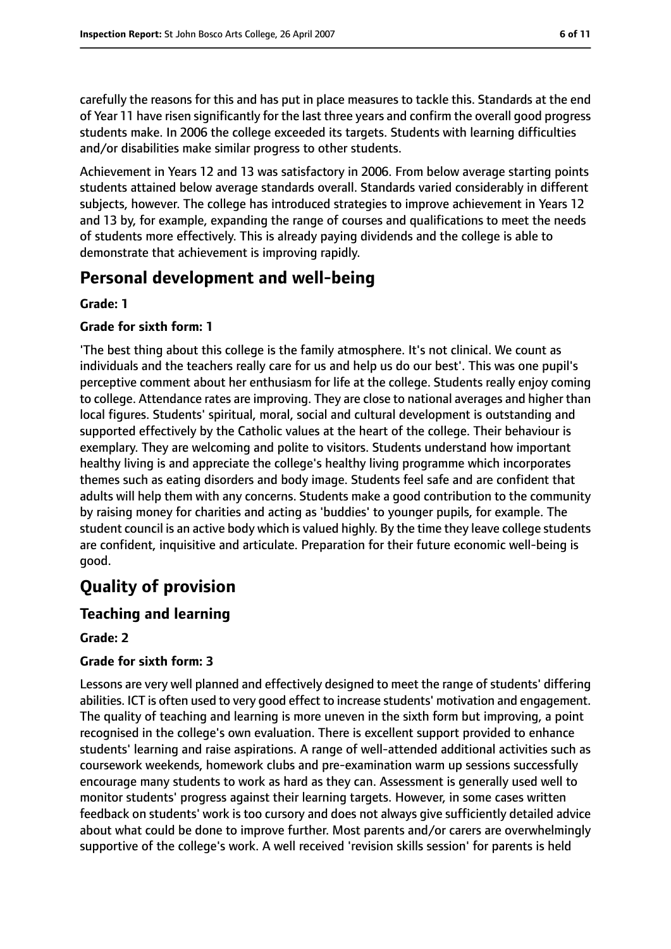carefully the reasons for this and has put in place measures to tackle this. Standards at the end of Year 11 have risen significantly for the last three years and confirm the overall good progress students make. In 2006 the college exceeded its targets. Students with learning difficulties and/or disabilities make similar progress to other students.

Achievement in Years 12 and 13 was satisfactory in 2006. From below average starting points students attained below average standards overall. Standards varied considerably in different subjects, however. The college has introduced strategies to improve achievement in Years 12 and 13 by, for example, expanding the range of courses and qualifications to meet the needs of students more effectively. This is already paying dividends and the college is able to demonstrate that achievement is improving rapidly.

# **Personal development and well-being**

### **Grade: 1**

### **Grade for sixth form: 1**

'The best thing about this college is the family atmosphere. It's not clinical. We count as individuals and the teachers really care for us and help us do our best'. This was one pupil's perceptive comment about her enthusiasm for life at the college. Students really enjoy coming to college. Attendance rates are improving. They are close to national averages and higher than local figures. Students' spiritual, moral, social and cultural development is outstanding and supported effectively by the Catholic values at the heart of the college. Their behaviour is exemplary. They are welcoming and polite to visitors. Students understand how important healthy living is and appreciate the college's healthy living programme which incorporates themes such as eating disorders and body image. Students feel safe and are confident that adults will help them with any concerns. Students make a good contribution to the community by raising money for charities and acting as 'buddies' to younger pupils, for example. The student council is an active body which is valued highly. By the time they leave college students are confident, inquisitive and articulate. Preparation for their future economic well-being is good.

# **Quality of provision**

## **Teaching and learning**

### **Grade: 2**

### **Grade for sixth form: 3**

Lessons are very well planned and effectively designed to meet the range of students' differing abilities. ICT is often used to very good effect to increase students' motivation and engagement. The quality of teaching and learning is more uneven in the sixth form but improving, a point recognised in the college's own evaluation. There is excellent support provided to enhance students' learning and raise aspirations. A range of well-attended additional activities such as coursework weekends, homework clubs and pre-examination warm up sessions successfully encourage many students to work as hard as they can. Assessment is generally used well to monitor students' progress against their learning targets. However, in some cases written feedback on students' work is too cursory and does not always give sufficiently detailed advice about what could be done to improve further. Most parents and/or carers are overwhelmingly supportive of the college's work. A well received 'revision skills session' for parents is held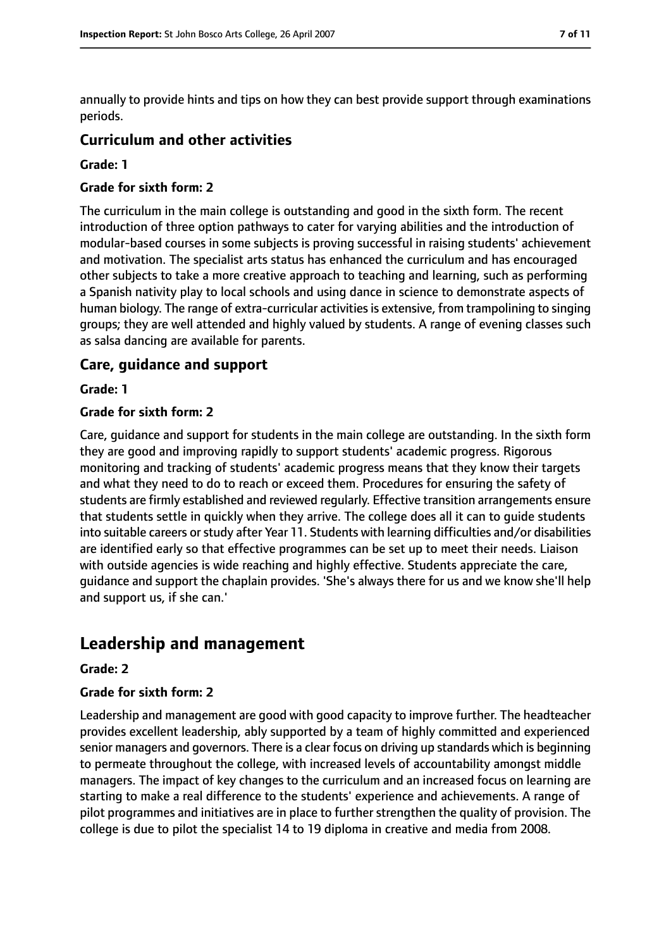annually to provide hints and tips on how they can best provide support through examinations periods.

## **Curriculum and other activities**

#### **Grade: 1**

#### **Grade for sixth form: 2**

The curriculum in the main college is outstanding and good in the sixth form. The recent introduction of three option pathways to cater for varying abilities and the introduction of modular-based courses in some subjects is proving successful in raising students' achievement and motivation. The specialist arts status has enhanced the curriculum and has encouraged other subjects to take a more creative approach to teaching and learning, such as performing a Spanish nativity play to local schools and using dance in science to demonstrate aspects of human biology. The range of extra-curricular activities is extensive, from trampolining to singing groups; they are well attended and highly valued by students. A range of evening classes such as salsa dancing are available for parents.

## **Care, guidance and support**

#### **Grade: 1**

#### **Grade for sixth form: 2**

Care, guidance and support for students in the main college are outstanding. In the sixth form they are good and improving rapidly to support students' academic progress. Rigorous monitoring and tracking of students' academic progress means that they know their targets and what they need to do to reach or exceed them. Procedures for ensuring the safety of students are firmly established and reviewed regularly. Effective transition arrangements ensure that students settle in quickly when they arrive. The college does all it can to guide students into suitable careers or study after Year 11. Students with learning difficulties and/or disabilities are identified early so that effective programmes can be set up to meet their needs. Liaison with outside agencies is wide reaching and highly effective. Students appreciate the care, guidance and support the chaplain provides. 'She's always there for us and we know she'll help and support us, if she can.'

# **Leadership and management**

#### **Grade: 2**

#### **Grade for sixth form: 2**

Leadership and management are good with good capacity to improve further. The headteacher provides excellent leadership, ably supported by a team of highly committed and experienced senior managers and governors. There is a clear focus on driving up standards which is beginning to permeate throughout the college, with increased levels of accountability amongst middle managers. The impact of key changes to the curriculum and an increased focus on learning are starting to make a real difference to the students' experience and achievements. A range of pilot programmes and initiatives are in place to further strengthen the quality of provision. The college is due to pilot the specialist 14 to 19 diploma in creative and media from 2008.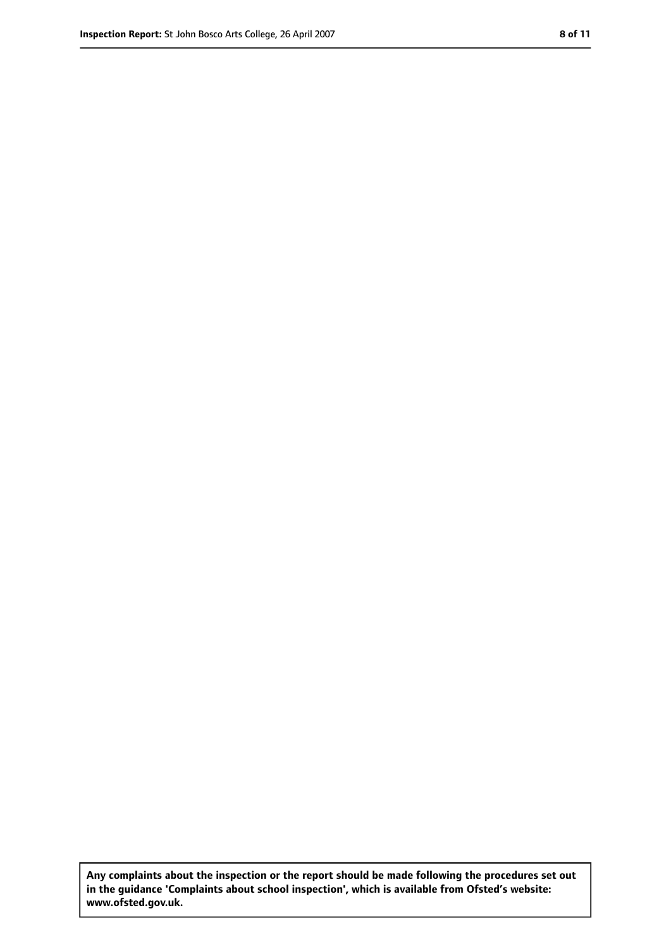**Any complaints about the inspection or the report should be made following the procedures set out in the guidance 'Complaints about school inspection', which is available from Ofsted's website: www.ofsted.gov.uk.**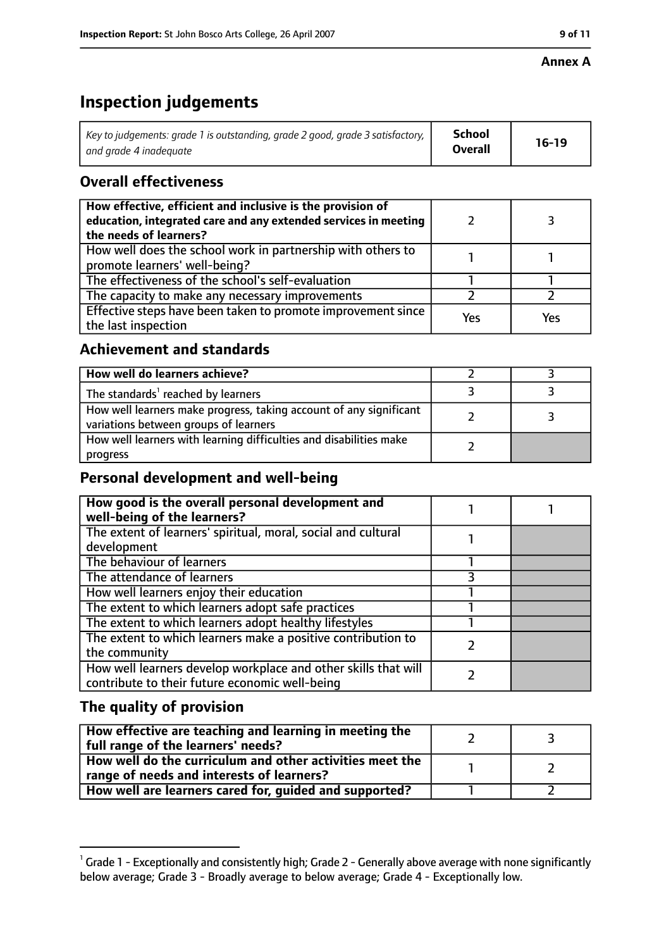#### **Annex A**

# **Inspection judgements**

| Key to judgements: grade 1 is outstanding, grade 2 good, grade 3 satisfactory, $\vert$ | School         | $16-19$ |
|----------------------------------------------------------------------------------------|----------------|---------|
| and arade 4 inadeauate                                                                 | <b>Overall</b> |         |

# **Overall effectiveness**

| How effective, efficient and inclusive is the provision of<br>education, integrated care and any extended services in meeting<br>the needs of learners? |     |     |
|---------------------------------------------------------------------------------------------------------------------------------------------------------|-----|-----|
| How well does the school work in partnership with others to<br>promote learners' well-being?                                                            |     |     |
| The effectiveness of the school's self-evaluation                                                                                                       |     |     |
| The capacity to make any necessary improvements                                                                                                         |     |     |
| Effective steps have been taken to promote improvement since<br>the last inspection                                                                     | Yes | Yes |

# **Achievement and standards**

| How well do learners achieve?                                                                               |  |
|-------------------------------------------------------------------------------------------------------------|--|
| The standards <sup>1</sup> reached by learners                                                              |  |
| How well learners make progress, taking account of any significant<br>variations between groups of learners |  |
| How well learners with learning difficulties and disabilities make<br>progress                              |  |

# **Personal development and well-being**

| How good is the overall personal development and<br>well-being of the learners?                                  |  |
|------------------------------------------------------------------------------------------------------------------|--|
| The extent of learners' spiritual, moral, social and cultural<br>development                                     |  |
| The behaviour of learners                                                                                        |  |
| The attendance of learners                                                                                       |  |
| How well learners enjoy their education                                                                          |  |
| The extent to which learners adopt safe practices                                                                |  |
| The extent to which learners adopt healthy lifestyles                                                            |  |
| The extent to which learners make a positive contribution to<br>the community                                    |  |
| How well learners develop workplace and other skills that will<br>contribute to their future economic well-being |  |

## **The quality of provision**

| How effective are teaching and learning in meeting the<br>full range of the learners' needs?          |  |
|-------------------------------------------------------------------------------------------------------|--|
| How well do the curriculum and other activities meet the<br>range of needs and interests of learners? |  |
| How well are learners cared for, guided and supported?                                                |  |

 $^1$  Grade 1 - Exceptionally and consistently high; Grade 2 - Generally above average with none significantly below average; Grade 3 - Broadly average to below average; Grade 4 - Exceptionally low.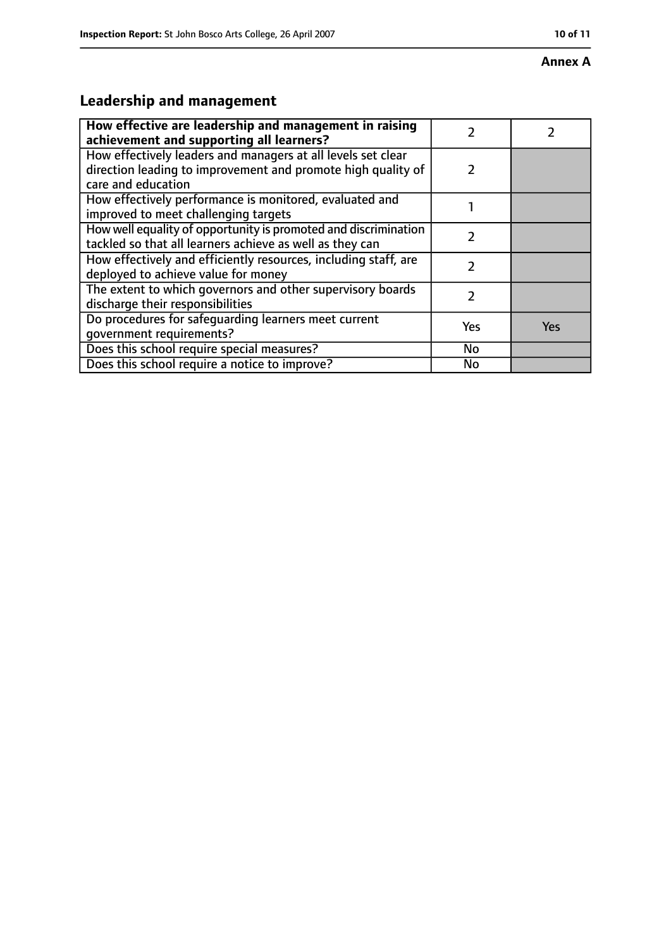#### **Annex A**

# **Leadership and management**

| How effective are leadership and management in raising<br>achievement and supporting all learners?                                                 |               |     |
|----------------------------------------------------------------------------------------------------------------------------------------------------|---------------|-----|
| How effectively leaders and managers at all levels set clear<br>direction leading to improvement and promote high quality of<br>care and education | $\mathcal{P}$ |     |
| How effectively performance is monitored, evaluated and<br>improved to meet challenging targets                                                    |               |     |
| How well equality of opportunity is promoted and discrimination<br>tackled so that all learners achieve as well as they can                        | フ             |     |
| How effectively and efficiently resources, including staff, are<br>deployed to achieve value for money                                             | 7             |     |
| The extent to which governors and other supervisory boards<br>discharge their responsibilities                                                     | 7             |     |
| Do procedures for safeguarding learners meet current<br>qovernment requirements?                                                                   | Yes           | Yes |
| Does this school require special measures?                                                                                                         | No            |     |
| Does this school require a notice to improve?                                                                                                      | <b>No</b>     |     |